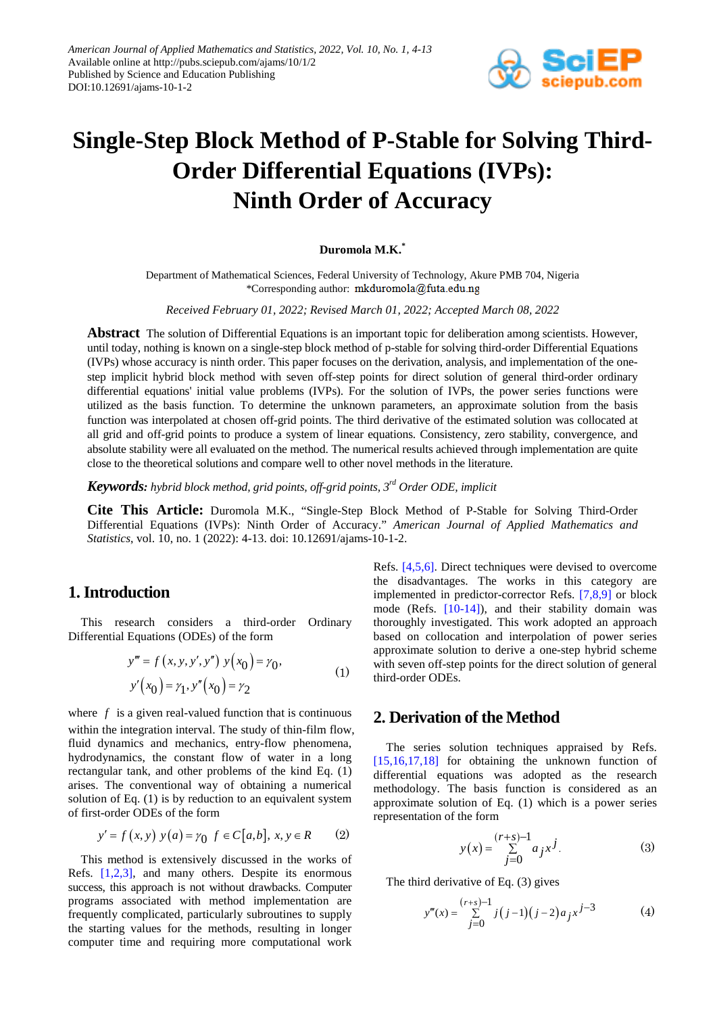

# **Single-Step Block Method of P-Stable for Solving Third-Order Differential Equations (IVPs): Ninth Order of Accuracy**

#### **Duromola M.K.\***

Department of Mathematical Sciences, Federal University of Technology, Akure PMB 704, Nigeria \*Corresponding author: mkduromola@futa.edu.ng

*Received February 01, 2022; Revised March 01, 2022; Accepted March 08, 2022*

**Abstract** The solution of Differential Equations is an important topic for deliberation among scientists. However, until today, nothing is known on a single-step block method of p-stable for solving third-order Differential Equations (IVPs) whose accuracy is ninth order. This paper focuses on the derivation, analysis, and implementation of the onestep implicit hybrid block method with seven off-step points for direct solution of general third-order ordinary differential equations' initial value problems (IVPs). For the solution of IVPs, the power series functions were utilized as the basis function. To determine the unknown parameters, an approximate solution from the basis function was interpolated at chosen off-grid points. The third derivative of the estimated solution was collocated at all grid and off-grid points to produce a system of linear equations. Consistency, zero stability, convergence, and absolute stability were all evaluated on the method. The numerical results achieved through implementation are quite close to the theoretical solutions and compare well to other novel methods in the literature.

*Keywords: hybrid block method, grid points, off-grid points, 3rd Order ODE, implicit*

**Cite This Article:** Duromola M.K., "Single-Step Block Method of P-Stable for Solving Third-Order Differential Equations (IVPs): Ninth Order of Accuracy." *American Journal of Applied Mathematics and Statistics*, vol. 10, no. 1 (2022): 4-13. doi: 10.12691/ajams-10-1-2.

# **1. Introduction**

This research considers a third-order Ordinary Differential Equations (ODEs) of the form

$$
y''' = f(x, y, y', y'') y(x_0) = \gamma_0,
$$
  
\n
$$
y'(x_0) = \gamma_1, y''(x_0) = \gamma_2
$$
 (1)

where  $f$  is a given real-valued function that is continuous within the integration interval. The study of thin-film flow, fluid dynamics and mechanics, entry-flow phenomena, hydrodynamics, the constant flow of water in a long rectangular tank, and other problems of the kind Eq. (1) arises. The conventional way of obtaining a numerical solution of Eq. (1) is by reduction to an equivalent system of first-order ODEs of the form

$$
y' = f(x, y) y(a) = \gamma_0 f \in C[a, b], x, y \in R
$$
 (2)

This method is extensively discussed in the works of Refs. [\[1,2,3\],](#page-9-0) and many others. Despite its enormous success, this approach is not without drawbacks. Computer programs associated with method implementation are frequently complicated, particularly subroutines to supply the starting values for the methods, resulting in longer computer time and requiring more computational work

Refs. [\[4,5,6\].](#page-9-1) Direct techniques were devised to overcome the disadvantages. The works in this category are implemented in predictor-corrector Refs. [\[7,8,9\]](#page-9-2) or block mode (Refs. [\[10-14\]\)](#page-9-3), and their stability domain was thoroughly investigated. This work adopted an approach based on collocation and interpolation of power series approximate solution to derive a one-step hybrid scheme with seven off-step points for the direct solution of general third-order ODEs.

## **2. Derivation of the Method**

The series solution techniques appraised by Refs. [\[15,16,17,18\]](#page-9-4) for obtaining the unknown function of differential equations was adopted as the research methodology. The basis function is considered as an approximate solution of Eq. (1) which is a power series representation of the form

$$
y(x) = \sum_{j=0}^{(r+s)-1} a_j x^j.
$$
 (3)

The third derivative of Eq. (3) gives

$$
y'''(x) = \sum_{j=0}^{(r+s)-1} j(j-1)(j-2)a_j x^{j-3}
$$
 (4)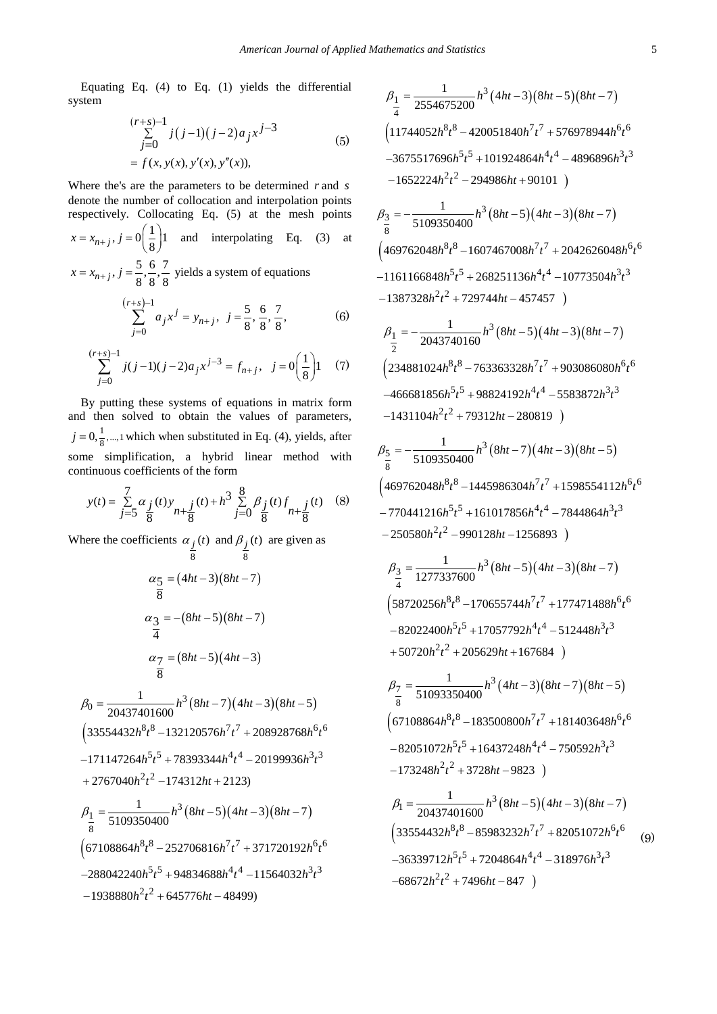Equating Eq. (4) to Eq. (1) yields the differential system

$$
\sum_{j=0}^{(r+s)-1} j(j-1)(j-2)a_j x^{j-3}
$$
  
=  $f(x, y(x), y'(x), y''(x)),$  (5)

Where the's are the parameters to be determined *r* and *s* denote the number of collocation and interpolation points respectively. Collocating Eq. (5) at the mesh points

$$
x = x_{n+j}
$$
,  $j = 0\left(\frac{1}{8}\right)1$  and interpolating Eq. (3) at  
 $x = x_{n+j}$ ,  $j = \frac{5}{2}, \frac{6}{2}, \frac{7}{2}$  yields a system of equations

 $x = x_{n+j}$ ,  $j = \frac{5}{8}, \frac{6}{8}, \frac{7}{8}$  yields a system of equations

$$
\sum_{j=0}^{(r+s)-1} a_j x^j = y_{n+j}, \ \ j = \frac{5}{8}, \frac{6}{8}, \frac{7}{8}, \tag{6}
$$

$$
\sum_{j=0}^{(r+s)-1} j(j-1)(j-2)a_j x^{j-3} = f_{n+j}, \quad j=0 \left(\frac{1}{8}\right)1 \quad (7)
$$

By putting these systems of equations in matrix form and then solved to obtain the values of parameters,  $j = 0, \frac{1}{8}, \dots, 1$  which when substituted in Eq. (4), yields, after some simplification, a hybrid linear method with continuous coefficients of the form

$$
y(t) = \sum_{j=5}^{7} \alpha_j(t) y_{n+\frac{j}{8}}(t) + h^3 \sum_{j=0}^{8} \beta_j(t) f_{n+\frac{j}{8}}(t)
$$
 (8)

Where the coefficients  $\alpha_j(t)$  and  $\beta_j(t)$  are given as

8 8  
\n
$$
\alpha_{5} = (4ht - 3)(8ht - 7)
$$
\n
$$
\frac{\alpha_{5}}{8} = -(8ht - 5)(8ht - 7)
$$
\n
$$
\frac{\alpha_{3}}{4} = -(8ht - 5)(8ht - 7)
$$
\n
$$
\frac{\alpha_{7}}{8} = (8ht - 5)(4ht - 3)
$$
\n
$$
\frac{\alpha_{7}}{8} = \frac{1}{20437401600}h^{3}(8ht - 7)(4ht - 3)(8ht - 5)
$$
\n
$$
(33554432h^{8}t^{8} - 132120576h^{7}t^{7} + 208928768h^{6}t^{6}
$$
\n
$$
-171147264h^{5}t^{5} + 78393344h^{4}t^{4} - 20199936h^{3}t^{3}
$$
\n
$$
+ 2767040h^{2}t^{2} - 174312ht + 2123)
$$
\n
$$
\beta_{\frac{1}{8}} = \frac{1}{5109350400}h^{3}(8ht - 5)(4ht - 3)(8ht - 7)
$$
\n
$$
(67108864h^{8}t^{8} - 252706816h^{7}t^{7} + 371720192h^{6}t^{6}
$$
\n
$$
-288042240h^{5}t^{5} + 94834688h^{4}t^{4} - 11564032h^{3}t^{3}
$$
\n
$$
-1938880h^{2}t^{2} + 645776ht - 48499)
$$

$$
\beta_{\frac{1}{4}} = \frac{1}{2554675200} h^3 (4ht-3)(8ht-5)(8ht-7) \n(11744052h^8t^8 - 420051840h^7t^7 + 576978944h^6t^6 \n-3675517696h^5t^5 + 101924864h^4t^4 - 4896896h^3t^3 \n-1652224h^2t^2 - 294986ht + 90101 ) \n\beta_{\frac{3}{8}} = -\frac{1}{5109350400} h^3 (8ht-5)(4ht-3)(8ht-7) \n(469762048h^8t^8 - 1607467008h^7t^7 + 2042626048h^6t^6 \n-1161166848h^5t^5 + 268251136h^4t^4 - 10773504h^3t^3 \n-1387328h^2t^2 + 729744ht - 457457 ) \n\beta_{\frac{1}{2}} = -\frac{1}{2043740160} h^3 (8ht-5)(4ht-3)(8ht-7) \n(234881024h^8t^8 - 763363328h^7t^7 + 903086080h^6t^6 \n-466681856h^5t^5 + 98824192h^4t^4 - 5583872h^3t^3 \n-1431104h^2t^2 + 79312ht - 280819 ) \n\beta_{\frac{5}{8}} = -\frac{1}{5109350400} h^3 (8ht-7)(4ht-3)(8ht-5) \n(469762048h^8t^8 - 1445986304h^7t^7 + 1598554112h^6t^6 \n-770441216h^5t^5 + 161017856h^4t^4 - 7844864h^3t^3 \n- 250580h^2t^2 - 990128
$$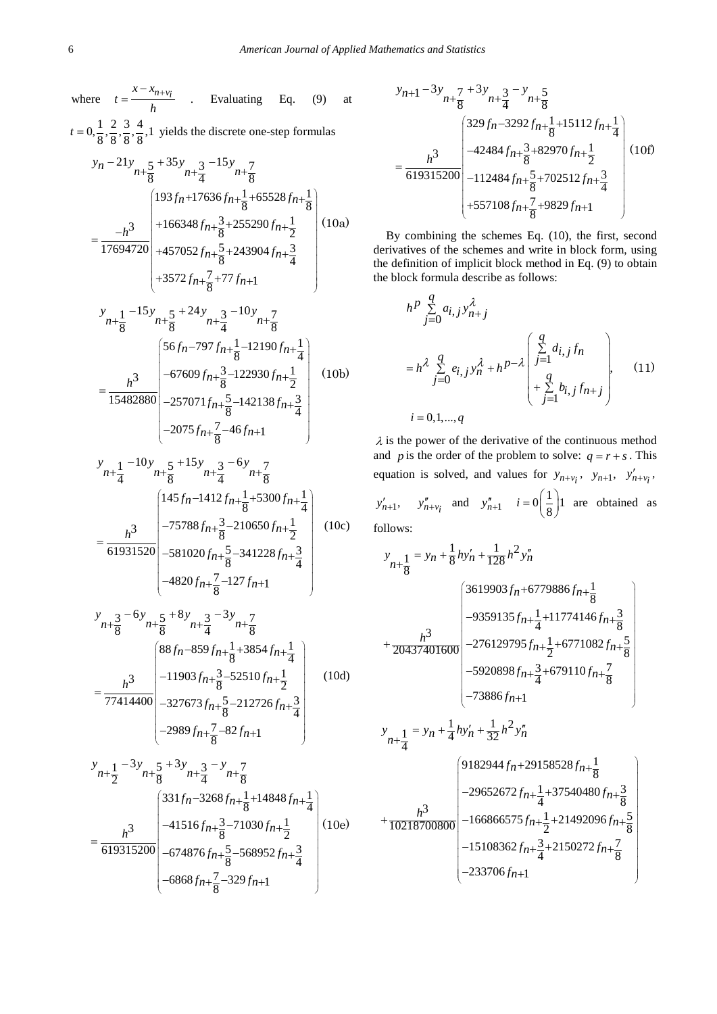where  $t = \frac{x - x_{n+v_i}}{h}$  . Evaluating Eq. (9) at  $t = 0, \frac{1}{8}, \frac{2}{8}, \frac{3}{8}, \frac{4}{8}$ , 1 yields the discrete one-step formulas  $21y_{n+}5 + 35y_{n+}3 - 15y_{n+}7$  $y_n - 21y_{n+\frac{5}{8}} + 35y_{n+\frac{3}{4}} - 15y_{n+\frac{7}{8}}$  $193 f_n + 17636 f_{n+\frac{1}{2}} + 65528 f_{n+\frac{1}{2}}$  $\left(193f_n+17636f_{n+\frac{1}{8}}+65528f_{n+\frac{1}{8}}\right)$ 3  $+166348 f_{n+\frac{3}{8}}+255290 f_{n+\frac{1}{2}}$  $17694720 + 457052 f_{n+\frac{5}{2}} + 243904 f_{n+\frac{3}{2}}$  $\overline{8}$   $\overline{4}$  $3572 f_{n+\frac{7}{8}} + 77 f_{n+1}$  $h^3$  | +166348 $f_{n+\frac{3}{8}}$ +255290 $f_n$  $f_{n+\frac{5}{8}}+243904f_n$  $\left( +3572f_{n+\frac{7}{8}} + 77f_{n+1} \right)$  $=\frac{-h^3}{17694720}\Bigg|^{+166348f_{n+\frac{3}{8}}+255290f_{n+\frac{3}{8}}+255290f_{n+\frac{1}{8}}+243904f_{n+\frac{1}{8}}+243904f_{n+\frac{1}{8}}+243904f_{n+\frac{1}{8}}+243904f_{n+\frac{1}{8}}+243904f_{n+\frac{1}{8}}+243904f_{n+\frac{1}{8}}+243904f_{n+\frac{1}{8}}+243904f_{n+\frac{1}{8}}+243904f_{n+\frac{$  $+3572f_{n+\frac{7}{2}}+77f_{n+}$ (10a)

$$
\begin{aligned}\ny_{n+\frac{1}{8}} - 15y_{n+\frac{5}{8}} + 24y_{n+\frac{3}{4}} - 10y_{n+\frac{7}{8}} \\
&= \frac{h^3}{15482880} \begin{pmatrix} 56f_n - 797f_{n+\frac{1}{8}} - 12190f_{n+\frac{1}{4}} \\
-67609f_{n+\frac{3}{8}} - 122930f_{n+\frac{1}{2}} \\
-257071f_{n+\frac{5}{8}} - 142138f_{n+\frac{3}{4}} \\
-2075f_{n+\frac{7}{8}} - 46f_{n+1}\n\end{pmatrix} \n\end{aligned} \tag{10b}
$$

$$
y_{n+\frac{1}{4}} - 10y_{n+\frac{5}{8}} + 15y_{n+\frac{3}{4}} - 6y_{n+\frac{7}{8}}
$$
  
\n
$$
= \frac{h^3}{61931520} \begin{pmatrix} 145f_{n-1}412f_{n+\frac{1}{8}} + 5300f_{n+\frac{1}{4}} \\ -75788f_{n+\frac{3}{8}} - 210650f_{n+\frac{1}{2}} \\ -581020f_{n+\frac{5}{8}} - 341228f_{n+\frac{3}{4}} \\ -4820f_{n+\frac{7}{8}} - 127f_{n+1} \end{pmatrix}
$$
(10c)

$$
\begin{aligned}\ny_{n+\frac{3}{8}} - 6y_{n+\frac{5}{8}} + 8y_{n+\frac{3}{4}} - 3y_{n+\frac{7}{8}} \\
&= \frac{h^3}{77414400} \begin{bmatrix} 88f_n - 859f_{n+\frac{1}{8}} + 3854f_{n+\frac{1}{4}} \\
-11903f_{n+\frac{3}{8}} - 52510f_{n+\frac{1}{2}} \\
-327673f_{n+\frac{5}{8}} - 212726f_{n+\frac{3}{4}} \\
-2989f_{n+\frac{7}{8}} - 82f_{n+1}\n\end{bmatrix} \n\end{aligned} \tag{10d}
$$

$$
y_{n+\frac{1}{2}} - 3y_{n+\frac{5}{8}} + 3y_{n+\frac{3}{4}} - y_{n+\frac{7}{8}}
$$
  
\n
$$
= \frac{h^3}{619315200} \begin{pmatrix} 331f_n - 3268f_{n+\frac{1}{8}} + 14848f_{n+\frac{1}{4}} \\ -41516f_{n+\frac{3}{8}} - 71030f_{n+\frac{1}{2}} \\ -674876f_{n+\frac{5}{8}} - 568952f_{n+\frac{3}{4}} \\ -6868f_{n+\frac{7}{8}} - 329f_{n+1} \end{pmatrix} (10e)
$$

$$
y_{n+1} - 3y_{n+\frac{7}{8}} + 3y_{n+\frac{3}{4}} - y_{n+\frac{5}{8}}
$$
  
=  $\frac{h^3}{619315200} \begin{pmatrix} 329f_n - 3292f_{n+\frac{1}{8}} + 15112f_{n+\frac{1}{4}} \\ -42484f_{n+\frac{3}{8}} + 82970f_{n+\frac{1}{2}} \\ -112484f_{n+\frac{5}{8}} + 702512f_{n+\frac{3}{4}} \\ + 557108f_{n+\frac{7}{8}} + 9829f_{n+1} \end{pmatrix}$ (10f)

By combining the schemes Eq. (10), the first, second derivatives of the schemes and write in block form, using the definition of implicit block method in Eq. (9) to obtain the block formula describe as follows:

$$
h^{p} \sum_{j=0}^{q} a_{i,j} y_{n+j}^{\lambda}
$$
  
=  $h^{\lambda} \sum_{j=0}^{q} e_{i,j} y_{n}^{\lambda} + h^{p-\lambda} \begin{pmatrix} \sum_{j=1}^{q} d_{i,j} f_{n} \\ \sum_{j=1}^{q} d_{i,j} f_{n} \\ + \sum_{j=1}^{q} b_{i,j} f_{n+j} \end{pmatrix}$ , (11)  
 $i = 0, 1, ..., q$ 

 $\lambda$  is the power of the derivative of the continuous method and *p* is the order of the problem to solve:  $q = r + s$ . This equation is solved, and values for  $y_{n+v_i}$ ,  $y_{n+1}$ ,  $y'_{n+v_i}$ ,  $y'_{n+1}$ ,  $y''_{n+v_i}$  and  $y''_{n+1}$   $i=0 \left(\frac{1}{8}\right)1$  are obtained as follows:

$$
y_{n+\frac{1}{8}} = y_n + \frac{1}{8}hy'_n + \frac{1}{128}h^2y''_n
$$
  

$$
= 3619903f_n + 6779886f_{n+\frac{1}{8}}
$$
  

$$
+ \frac{h^3}{20437401600} \begin{bmatrix} 3619903f_n + 6779886f_{n+\frac{1}{8}} \\ -9359135f_{n+\frac{1}{4}} + 11774146f_{n+\frac{3}{8}} \\ -276129795f_{n+\frac{1}{2}} + 6771082f_{n+\frac{5}{8}} \\ -5920898f_{n+\frac{3}{4}} + 679110f_{n+\frac{7}{8}} \end{bmatrix}
$$

$$
y_{n+\frac{1}{4}} = y_n + \frac{1}{4}hy'_n + \frac{1}{32}h^2y''_n
$$
  
\n
$$
y_{n+\frac{1}{4}} = \frac{9182944 f_n + 29158528 f_n + \frac{1}{8}}{9182944 f_n + 29158528 f_n + \frac{1}{8} + \frac{1}{10218700800}} - \frac{29652672 f_n + \frac{1}{4} + 37540480 f_n + \frac{5}{8}}{-166866575 f_n + \frac{1}{2} + 21492096 f_n + \frac{5}{8} - \frac{15108362 f_n + \frac{3}{4} + 2150272 f_n + \frac{7}{8}}{-233706 f_n + 1}}
$$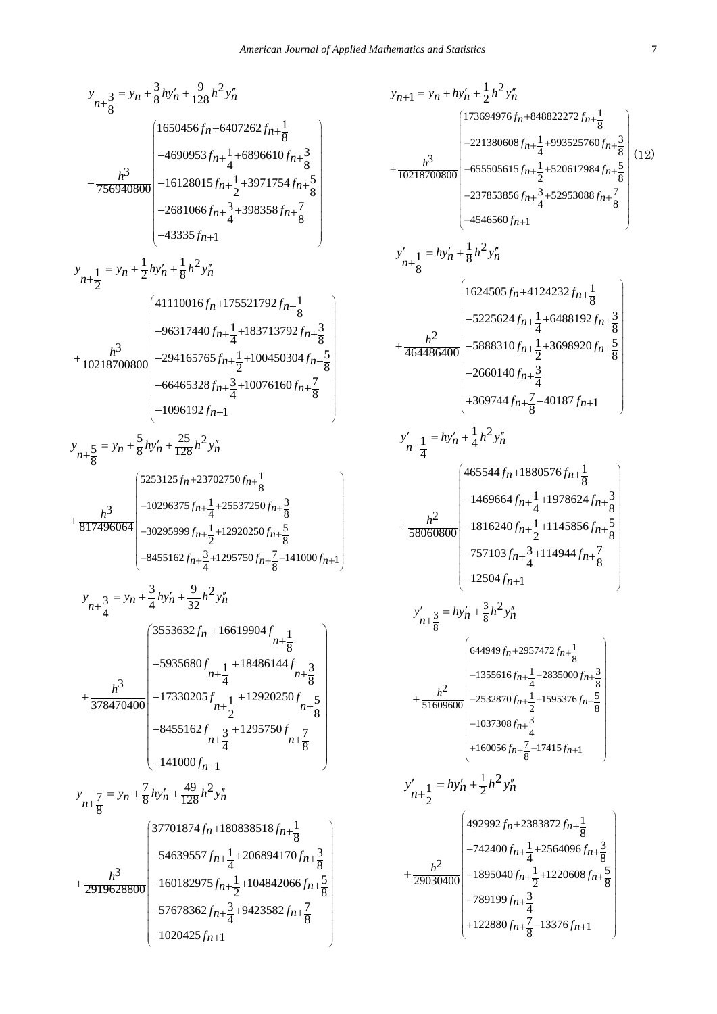$$
y_{n+\frac{3}{8}} = y_n + \frac{3}{8}h y'_n + \frac{9}{128}h^2 y''_n
$$
  
\n+  $\frac{h^3}{756940800}$   
\n+  $\frac{h^3}{756940800}$   
\n+  $\frac{h^3}{756940800}$   
\n+  $\frac{h^2}{756940800}$   
\n+  $\frac{h^3}{756940800}$   
\n+  $\frac{h^2}{243355h+1}$   
\n+  $\frac{h^3}{243355h+1}$   
\n+  $\frac{h^3}{243355h+1}$   
\n+  $\frac{h^3}{243355h+1}$   
\n+  $\frac{h^3}{243355h+1}$   
\n+  $\frac{h^3}{243355h+1}$   
\n+  $\frac{h^3}{243355h+1}$   
\n+  $\frac{h^3}{24594140f_n + \frac{1}{4} + 183713792f_n + \frac{1}{8}}{10218700800}$   
\n+  $\frac{h^3}{10218700800}$   
\n+  $\frac{h^3}{10218700800}$   
\n+  $\frac{h^3}{66465328f_n + \frac{1}{2} + 100450304f_n + \frac{5}{8}}{40076160f_n + \frac{7}{8}}$   
\n+  $\frac{h^3}{8h^3}$   
\n+  $\frac{h^3}{817496064}$   
\n+  $\frac{h^3}{817496064}$   
\n+  $\frac{h^3}{817496064}$   
\n+  $\frac{h^3}{4485162f_n + \frac{3}{4} + 1295750f_n + \frac{1}{8}}$   
\n+  $\frac{h^3}{817496064}$   
\n+  $\frac{h^3}{4485162f_n + \frac{3}{4} + 1295750f_n + \frac{5}{8}}$ 

$$
y_{n+1} = y_n + hy'_n + \frac{1}{2}h^2y'_n
$$
  
\n
$$
y_{n+1} = y_n + hy'_n + \frac{1}{2}h^2y'_n
$$
  
\n
$$
y_1^3
$$
  
\n
$$
y_2^2
$$
  
\n
$$
y_3^3
$$
  
\n
$$
y_1^3
$$
  
\n
$$
y_2^3
$$
  
\n
$$
y_1^3
$$
  
\n
$$
y_2^3
$$
  
\n
$$
y_1^3
$$
  
\n
$$
y_2^3
$$
  
\n
$$
y_1^3 = hy'_n + \frac{1}{8}h^2y'_n
$$
  
\n
$$
y_2^3
$$
  
\n
$$
y_1^3 = hy'_n + \frac{1}{8}h^2y''_n
$$
  
\n
$$
y_1^3
$$
  
\n
$$
y_2^3
$$
  
\n
$$
y_2^3
$$
  
\n
$$
y_1^3 = hy'_n + \frac{1}{8}h^2y''_n
$$
  
\n
$$
y_2^3
$$
  
\n
$$
y_1^3 = 225624f_{n+1} + 6488192f_{n+1} + \frac{1}{8}
$$
  
\n
$$
y_2^3
$$
  
\n
$$
y_1^3
$$
  
\n
$$
y_1^3
$$
  
\n
$$
y_1^3
$$
  
\n
$$
y_1^3
$$
  
\n
$$
y_1^3
$$
  
\n
$$
y_1^3 = hy'_n + \frac{1}{4}h^2y''_n
$$
  
\n
$$
y_1^3
$$
  
\n
$$
y_1^3
$$
  
\n
$$
y_1^3
$$
  
\n
$$
y_1^3
$$
  
\n
$$
y_1^3
$$
  
\n
$$
y_1^3
$$
  
\n
$$
y_1^3
$$
  
\n
$$
y_1^3
$$
  
\n
$$
y_1^3
$$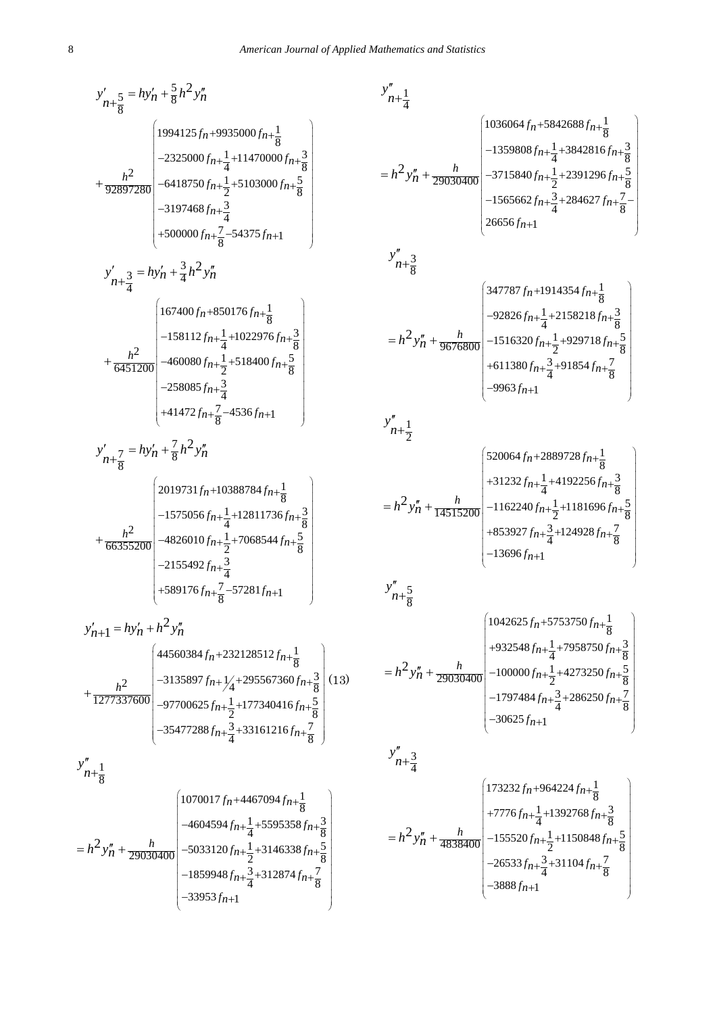$$
y'_{n+\frac{5}{8}} = hy'_{n} + \frac{5}{8}h^2y''_{n}
$$
\n
$$
+ \frac{h^2}{92897280} \begin{bmatrix}\n1994125f_{n}+9935000f_{n+\frac{1}{8}} \\
-2325000f_{n+\frac{1}{4}} +11470000f_{n+\frac{3}{8}} \\
+ 92897280\n\end{bmatrix} -6418750f_{n+\frac{1}{2}} +5103000f_{n+\frac{5}{8}} \\
-3197468f_{n+\frac{3}{4}} \\
+ 500000f_{n+\frac{7}{8}} -54375f_{n+1}\n\end{bmatrix}
$$
\n
$$
y'_{n+\frac{3}{4}} = hy'_{n} + \frac{3}{4}h^2y''_{n}
$$
\n
$$
+ \frac{h^2}{6451200} \begin{bmatrix}\n167400f_{n} +850176f_{n+\frac{1}{8}} \\
-158112f_{n+\frac{1}{4}} +1022976f_{n+\frac{3}{8}} \\
-258085f_{n+\frac{3}{4}} \\
+ 41472f_{n+\frac{7}{8}} -4536f_{n+1}\n\end{bmatrix}
$$
\n
$$
y'_{n+\frac{7}{8}} = hy'_{n} + \frac{7}{8}h^2y''_{n}
$$
\n
$$
y'_{n+\frac{7}{8}} = hy'_{n} + \frac{7}{8}h^2y''_{n}
$$
\n
$$
+ \frac{h^2}{66355200} \begin{bmatrix}\n2019731f_{n} +10388784f_{n+\frac{1}{8}} \\
-1575056f_{n} + \frac{1}{4} +12811736f_{n+\frac{3}{8}} \\
+ 589176f_{n+\frac{7}{8}} -57281f_{n+1}\n\end{bmatrix}
$$
\n
$$
y'_{n+1} = hy'_{n} + h^2y''_{n}
$$
\n
$$
+ 4860384f_{n} + 232128512f_{n+\frac{3}{8}}
$$
\n
$$
+ \frac{h^2}{12773376
$$

$$
y''_{n+\frac{1}{4}}
$$
\n
$$
= h^2 y''_n + \frac{h}{29030400} \begin{bmatrix} 1036064 f_n + 5842688 f_n + \frac{1}{8} \\ -1359808 f_n + \frac{1}{4} + 3842816 f_n + \frac{3}{8} \\ -1565662 f_n + \frac{3}{4} + 284627 f_n + \frac{7}{8} \\ 26656 f_n + 1 \end{bmatrix}
$$
\n
$$
y''_{n+\frac{3}{8}}
$$
\n
$$
= h^2 y''_n + \frac{h}{9676800} \begin{bmatrix} 347787 f_n + 1914354 f_n + \frac{1}{8} \\ -92826 f_n + \frac{1}{4} + 2158218 f_n + \frac{3}{8} \\ -92826 f_n + \frac{1}{4} + 2158218 f_n + \frac{3}{8} \\ +611380 f_n + \frac{3}{4} + 91854 f_n + \frac{7}{8} \\ -9963 f_n + 1 \end{bmatrix}
$$
\n
$$
y''_{n+\frac{1}{2}}
$$
\n
$$
= h^2 y''_n + \frac{h}{14515200} \begin{bmatrix} 520064 f_n + 2889728 f_n + \frac{1}{8} \\ 11380 f_n + \frac{3}{2} + 1181696 f_n + \frac{3}{8} \\ +31232 f_n + \frac{1}{4} + 4192256 f_n + \frac{3}{8} \\ +31232 f_n + \frac{1}{4} + 192256 f_n + \frac{3}{8} \\ -13696 f_n + 1 \end{bmatrix}
$$
\n
$$
y''_n + \frac{5}{14515200} \begin{bmatrix} 1042625 f_n + 5753750 f_n + \frac{1}{8} \\ -13696 f_n + 1 \end{bmatrix}
$$
\n
$$
y''_n + \frac{5}{8}
$$
\n
$$
= h^2 y''_n + \frac{h}{29030400} \begin{bmatrix} 1042625 f_n + 5753750 f_n + \frac{1}{8
$$

 $\frac{h}{4838400}$  -155520 $f_{n+\frac{1}{2}}$ +1150848 $f_{n+\frac{5}{8}}$ 

3888 $f_{n+1}$ 

 $-3888f_{n+}$ 

 $h^2 y_n''$ 

 $= h^2 y''_n +$ 

*fn*

 $26533f_{n+\frac{3}{4}} + 31104f_{n+\frac{7}{8}}$ 

 $-26533f_{n+\frac{3}{4}}+31104f_{n+}$ 

 $-155520f_{n+\frac{1}{2}}+1150848f_{n+}$ 

 $f_{n+\frac{3}{4}}+31104f_n$ 

 $\left($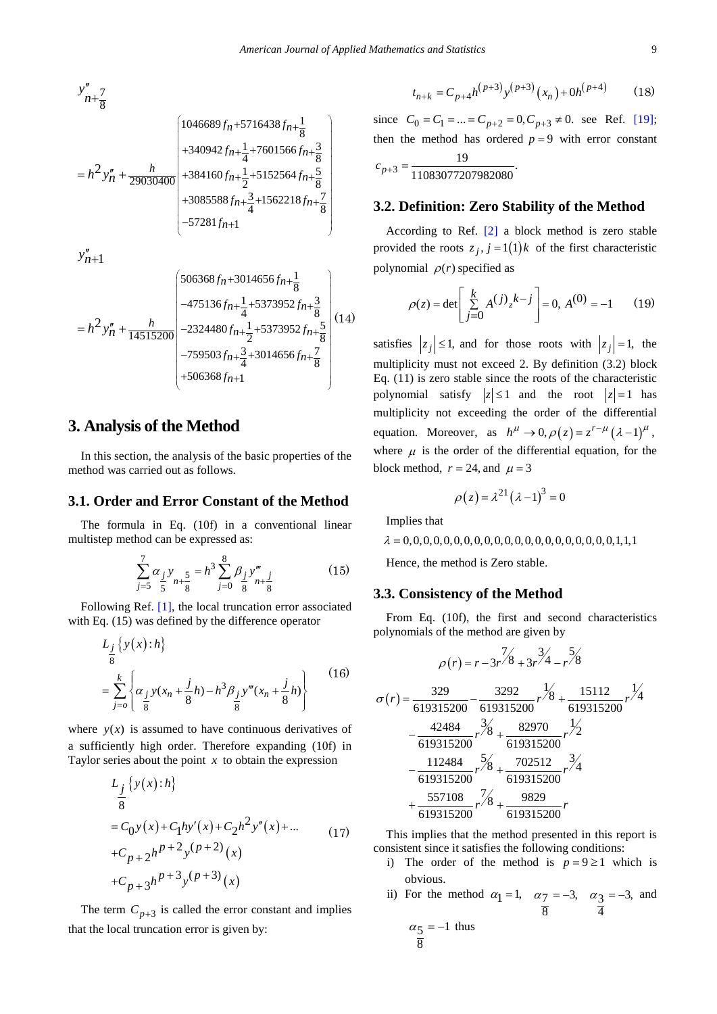$$
y''_{n+\frac{7}{8}}
$$
\n
$$
= h^2 y''_n + \frac{h}{29030400} \begin{pmatrix} 1046689 f_n + 5716438 f_{n+\frac{1}{8}} \\ + 340942 f_{n+\frac{1}{4}} + 7601566 f_{n+\frac{3}{8}} \\ + 384160 f_{n+\frac{1}{2}} + 5152564 f_{n+\frac{5}{8}} \\ + 3085588 f_{n+\frac{3}{4}} + 1562218 f_{n+\frac{7}{8}} \\ - 57281 f_{n+1} \end{pmatrix}
$$

 $y''_{n+1}$ 

$$
=h^2 y''_n + \frac{h}{14515200} \begin{pmatrix} 506368f_n + 3014656f_{n+\frac{1}{8}} \\ -475136f_{n+\frac{1}{4}} + 5373952f_{n+\frac{3}{8}} \\ -2324480f_{n+\frac{1}{2}} + 5373952f_{n+\frac{5}{8}} \\ -759503f_{n+\frac{3}{4}} + 3014656f_{n+\frac{7}{8}} \\ + 506368f_{n+1} \end{pmatrix} (14)
$$

### **3. Analysis of the Method**

In this section, the analysis of the basic properties of the method was carried out as follows.

#### **3.1. Order and Error Constant of the Method**

The formula in Eq. (10f) in a conventional linear multistep method can be expressed as:

$$
\sum_{j=5}^{7} \alpha_{j} y_{n+\frac{5}{8}} = h^{3} \sum_{j=0}^{8} \beta_{j} y_{n+\frac{j}{8}}^{m}
$$
 (15)

Following Ref. [\[1\],](#page-9-0) the local truncation error associated with Eq. (15) was defined by the difference operator

$$
L_{\frac{j}{8}}\left\{y(x):h\right\}
$$
  
=  $\sum_{j=0}^{k} \left\{\alpha_{\frac{j}{8}}y(x_n + \frac{j}{8}h) - h^3 \beta_{\frac{j}{8}}y'''(x_n + \frac{j}{8}h)\right\}$  (16)

where  $y(x)$  is assumed to have continuous derivatives of a sufficiently high order. Therefore expanding (10f) in Taylor series about the point *x* to obtain the expression

$$
L_j \{y(x):h\}
$$
  
=  $C_0 y(x) + C_1 hy'(x) + C_2 h^2 y''(x) + ...$   
+ $C_{p+2} h^{p+2} y^{(p+2)}(x)$   
+ $C_{p+3} h^{p+3} y^{(p+3)}(x)$  (17)

The term  $C_{p+3}$  is called the error constant and implies that the local truncation error is given by:

$$
t_{n+k} = C_{p+4} h^{(p+3)} y^{(p+3)}(x_n) + 0 h^{(p+4)}
$$
 (18)

since  $C_0 = C_1 = ... = C_{p+2} = 0, C_{p+3} \neq 0$ . see Ref. [\[19\];](#page-9-5) then the method has ordered  $p = 9$  with error constant  $c_{p+3} = \frac{19}{11083077207982080}$ 

#### **3.2. Definition: Zero Stability of the Method**

According to Ref. [\[2\]](#page-9-6) a block method is zero stable provided the roots  $z_j$ ,  $j = 1(1)k$  of the first characteristic polynomial  $\rho(r)$  specified as

$$
\rho(z) = \det \left[ \sum_{j=0}^{k} A^{(j)} z^{k-j} \right] = 0, A^{(0)} = -1 \qquad (19)
$$

satisfies  $|z_j| \leq 1$ , and for those roots with  $|z_j| = 1$ , the multiplicity must not exceed 2. By definition (3.2) block Eq. (11) is zero stable since the roots of the characteristic polynomial satisfy  $|z| \le 1$  and the root  $|z| = 1$  has multiplicity not exceeding the order of the differential equation. Moreover, as  $h^{\mu} \rightarrow 0, \rho(z) = z^{r-\mu} (\lambda - 1)^{\mu}$ , where  $\mu$  is the order of the differential equation, for the block method,  $r = 24$ , and  $\mu = 3$ 

$$
\rho(z) = \lambda^{21} (\lambda - 1)^3 = 0
$$

Implies that

<sup>λ</sup> = 0,0,0,0,0,0,0,0,0,0,0,0,0,0,0,0,0,0,0,0,0,1,1,1

Hence, the method is Zero stable.

#### **3.3. Consistency of the Method**

From Eq. (10f), the first and second characteristics polynomials of the method are given by

$$
\rho(r) = r - 3r^2/8 + 3r^2/4 - r^2/8
$$
  
\n
$$
\sigma(r) = \frac{329}{619315200} - \frac{3292}{619315200}r^2/8 + \frac{15112}{619315200}r^2/4 - \frac{42484}{619315200}r^3/8 + \frac{82970}{619315200}r^2/2 - \frac{112484}{619315200}r^5/8 + \frac{702512}{619315200}r^3/4 + \frac{557108}{619315200}r^2/8 + \frac{9829}{619315200}r
$$

This implies that the method presented in this report is consistent since it satisfies the following conditions:

- i) The order of the method is  $p = 9 \ge 1$  which is obvious.
- ii) For the method  $\alpha_1 = 1$ ,  $\alpha_7 = -3$ , 8  $\alpha_7 = -3, \alpha_3 = -3,$ 4  $\alpha_3 = -3$ , and

$$
\alpha_5 = -1 \text{ thus } \frac{2}{8}
$$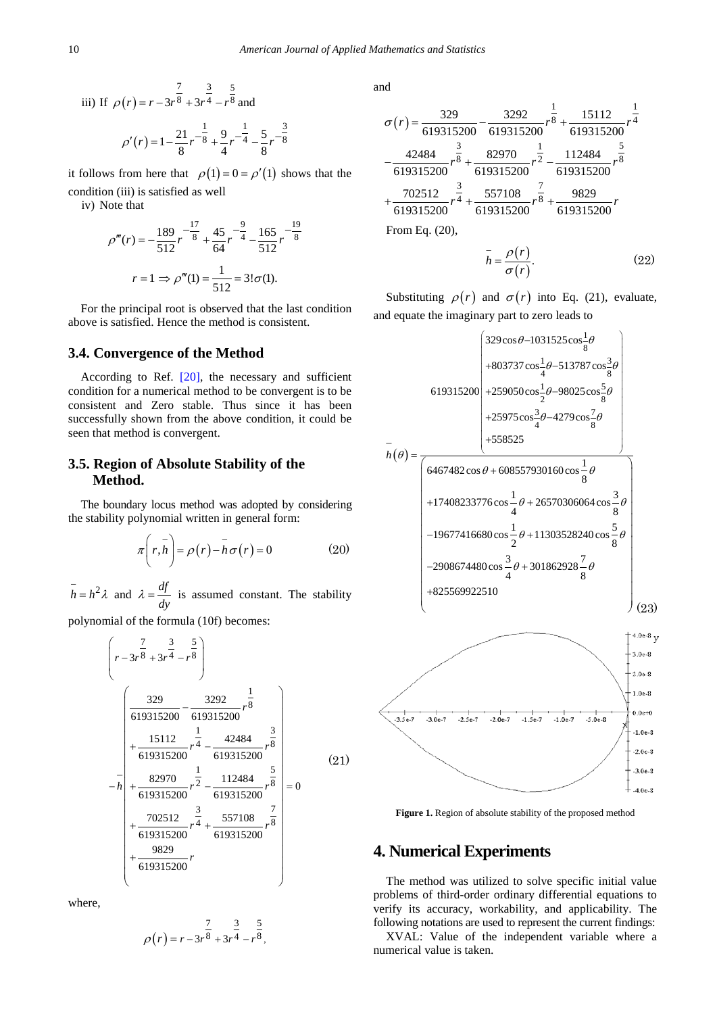iii) If 
$$
\rho(r) = r - 3r^{\frac{7}{8}} + 3r^{\frac{3}{4}} - r^{\frac{5}{8}}
$$
 and  

$$
\rho'(r) = 1 - \frac{21}{8}r^{-\frac{1}{8}} + \frac{9}{4}r^{-\frac{1}{4}} - \frac{5}{8}r^{-\frac{3}{8}}
$$

it follows from here that  $\rho(1) = 0 = \rho'(1)$  shows that the condition (iii) is satisfied as well

iv) Note that

$$
\rho'''(r) = -\frac{189}{512}r^{-\frac{17}{8}} + \frac{45}{64}r^{-\frac{9}{4}} - \frac{165}{512}r^{-\frac{19}{8}}
$$

$$
r = 1 \implies \rho'''(1) = \frac{1}{512} = 31\sigma(1).
$$

For the principal root is observed that the last condition above is satisfied. Hence the method is consistent.

#### **3.4. Convergence of the Method**

According to Ref. [\[20\],](#page-9-7) the necessary and sufficient condition for a numerical method to be convergent is to be consistent and Zero stable. Thus since it has been successfully shown from the above condition, it could be seen that method is convergent.

#### **3.5. Region of Absolute Stability of the Method.**

The boundary locus method was adopted by considering the stability polynomial written in general form:

$$
\pi\left(r,\bar{h}\right) = \rho\left(r\right) - \bar{h}\sigma\left(r\right) = 0\tag{20}
$$

 $\overline{h} = h^2 \lambda$  and  $\lambda = \frac{df}{dy}$  is assumed constant. The stability

polynomial of the formula (10f) becomes:

$$
\left(r-3r^{\frac{7}{8}}+3r^{\frac{3}{4}}-r^{\frac{5}{8}}\right)
$$
\n
$$
-\frac{15112}{619315200}-\frac{3292}{619315200}r^{\frac{1}{8}}
$$
\n
$$
-\frac{15112}{619315200}r^{\frac{1}{4}}-\frac{42484}{619315200}r^{\frac{3}{8}}
$$
\n
$$
-\frac{1}{4}+\frac{82970}{619315200}r^{\frac{1}{2}}-\frac{112484}{619315200}r^{\frac{5}{8}}}{619315200} = 0
$$
\n
$$
+\frac{702512}{619315200}r^{\frac{3}{4}}+\frac{557108}{619315200}r^{\frac{7}{8}}
$$
\n
$$
+\frac{9829}{619315200}r
$$
\n(21)

where,

$$
\rho(r) = r - 3r^{\frac{7}{8}} + 3r^{\frac{3}{4}} - r^{\frac{5}{8}},
$$

and

$$
\sigma(r) = \frac{329}{619315200} - \frac{3292}{619315200} r^{\frac{1}{8}} + \frac{15112}{619315200} r^{\frac{1}{4}}
$$

$$
-\frac{42484}{619315200} r^{\frac{3}{8}} + \frac{82970}{619315200} r^{\frac{1}{2}} - \frac{112484}{619315200} r^{\frac{5}{8}}
$$

$$
+\frac{702512}{619315200} r^{\frac{3}{4}} + \frac{557108}{619315200} r^{\frac{7}{8}} + \frac{9829}{619315200} r
$$
From Eq. (20),

$$
h = \frac{\rho(r)}{\sigma(r)}.\tag{22}
$$

Substituting  $\rho(r)$  and  $\sigma(r)$  into Eq. (21), evaluate, and equate the imaginary part to zero leads to

$$
\begin{pmatrix}\n329\cos\theta - 1031525\cos\frac{1}{8}\theta \\
+803737\cos\frac{1}{4}\theta - 513787\cos\frac{3}{8}\theta \\
+803737\cos\frac{1}{4}\theta - 513787\cos\frac{3}{8}\theta \\
+25975\cos\frac{3}{4}\theta - 4279\cos\frac{7}{8}\theta \\
+558525\n\end{pmatrix}
$$
\n
$$
\overline{n}(\theta) = \frac{\begin{pmatrix}\n6467482\cos\theta + 608557930160\cos\frac{1}{8}\theta \\
+558525\n\end{pmatrix}}{2\n\begin{pmatrix}\n6467482\cos\theta + 608557930160\cos\frac{1}{8}\theta \\
+17408233776\cos\frac{1}{4}\theta + 26570306064\cos\frac{3}{8}\theta \\
-19677416680\cos\frac{1}{2}\theta + 11303528240\cos\frac{5}{8}\theta \\
+825569922510\n\end{pmatrix}}
$$
\n
$$
\begin{pmatrix}\n10e^{8} \\
13.0e^{8} \\
13.0e^{8}\n\end{pmatrix}
$$



 $-1.5e.7$ 

 $-1.0e-7$ 

 $-5.0e-8$ 

 $-1.0e-8$  $-2.0e-8$  $-3.0e-8$  $+$  -4.0e-8

## **4. Numerical Experiments**

 $-2.5e-7$ 

 $-2.0e-7$ 

 $-3.5e-7$ 

 $-3.0e-7$ 

The method was utilized to solve specific initial value problems of third-order ordinary differential equations to verify its accuracy, workability, and applicability. The following notations are used to represent the current findings:

XVAL: Value of the independent variable where a numerical value is taken.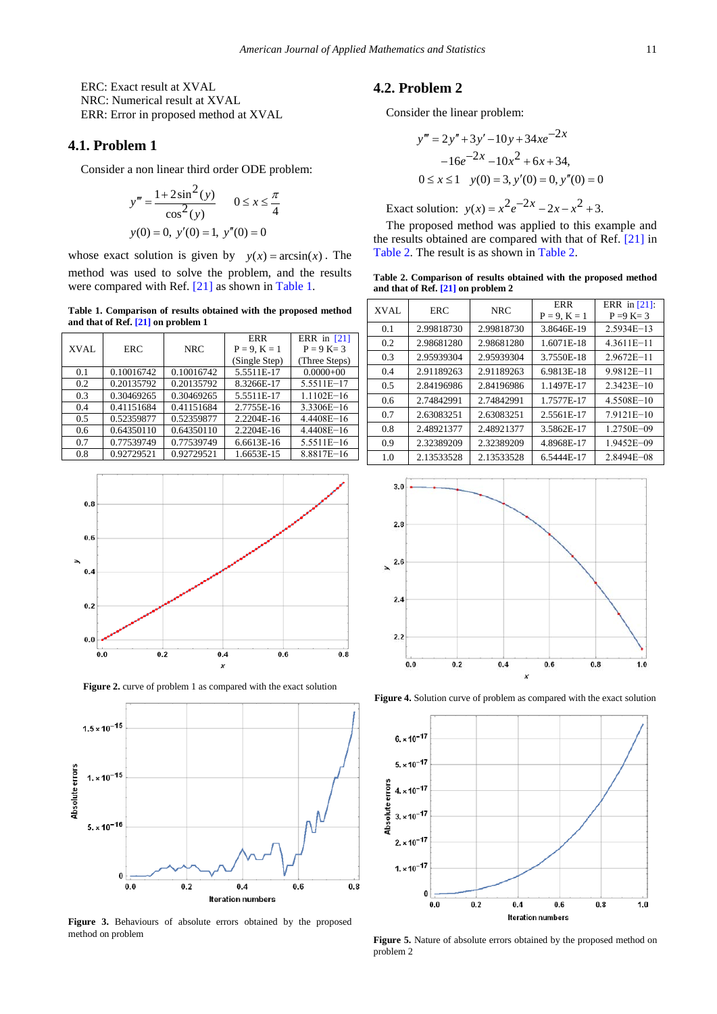ERC: Exact result at XVAL NRC: Numerical result at XVAL ERR: Error in proposed method at XVAL

#### **4.1. Problem 1**

Consider a non linear third order ODE problem:

$$
y''' = \frac{1 + 2\sin^2(y)}{\cos^2(y)} \qquad 0 \le x \le \frac{\pi}{4}
$$
  
y(0) = 0, y'(0) = 1, y''(0) = 0

whose exact solution is given by  $y(x) = \arcsin(x)$ . The method was used to solve the problem, and the results were compared with Ref. [\[21\]](#page-9-8) as shown in [Table 1.](#page-7-0)

**Table 1. Comparison of results obtained with the proposed method and that of Ref[. \[21\]](#page-9-8) on problem 1**

<span id="page-7-0"></span>

|      |            |            | <b>ERR</b>     | ERR in [21]    |
|------|------------|------------|----------------|----------------|
| XVAL | <b>ERC</b> | <b>NRC</b> | $P = 9, K = 1$ | $P = 9 K = 3$  |
|      |            |            | (Single Step)  | (Three Steps)  |
| 0.1  | 0.10016742 | 0.10016742 | 5.5511E-17     | $0.0000 + 00$  |
| 0.2  | 0.20135792 | 0.20135792 | 8.3266E-17     | 5.5511E-17     |
| 0.3  | 0.30469265 | 0.30469265 | 5.5511E-17     | $1.1102E - 16$ |
| 0.4  | 0.41151684 | 0.41151684 | 2.7755E-16     | 3.3306E-16     |
| 0.5  | 0.52359877 | 0.52359877 | 2.2204E-16     | $4.4408E - 16$ |
| 0.6  | 0.64350110 | 0.64350110 | 2.2204E-16     | $4.4408E - 16$ |
| 0.7  | 0.77539749 | 0.77539749 | 6.6613E-16     | 5.5511E-16     |
| 0.8  | 0.92729521 | 0.92729521 | 1.6653E-15     | 8.8817E-16     |



**Figure 2.** curve of problem 1 as compared with the exact solution



**Figure 3.** Behaviours of absolute errors obtained by the proposed method on problem

## **4.2. Problem 2**

Consider the linear problem:

$$
y''' = 2y'' + 3y' - 10y + 34xe^{-2x}
$$
  
-16e<sup>-2x</sup> -10x<sup>2</sup> + 6x + 34,  
0 \le x \le 1 \quad y(0) = 3, y'(0) = 0, y''(0) = 0

Exact solution:  $y(x) = x^2 e^{-2x} - 2x - x^2 + 3$ .

The proposed method was applied to this example and the results obtained are compared with that of Ref. [\[21\]](#page-9-8) in [Table 2.](#page-7-1) The result is as shown in [Table 2.](#page-7-1) 

**Table 2. Comparison of results obtained with the proposed method and that of Ref[. \[21\]](#page-9-8) on problem 2**

<span id="page-7-1"></span>

| <b>XVAL</b> | <b>ERC</b> | <b>NRC</b> | <b>ERR</b><br>$P = 9, K = 1$ | ERR in $[21]$ :<br>$P = 9 K = 3$ |
|-------------|------------|------------|------------------------------|----------------------------------|
| 0.1         | 2.99818730 | 2.99818730 | 3.8646E-19                   | $2.5934E-13$                     |
| 0.2         | 2.98681280 | 2.98681280 | 1.6071E-18                   | $4.3611E - 11$                   |
| 0.3         | 2.95939304 | 2.95939304 | 3.7550E-18                   | $2.9672E - 11$                   |
| 0.4         | 2.91189263 | 2.91189263 | 6.9813E-18                   | $9.9812E - 11$                   |
| 0.5         | 2.84196986 | 2.84196986 | 1.1497E-17                   | $2.3423E - 10$                   |
| 0.6         | 2.74842991 | 2.74842991 | 1.7577E-17                   | 4.5508E-10                       |
| 0.7         | 2.63083251 | 2.63083251 | 2.5561E-17                   | $7.9121E - 10$                   |
| 0.8         | 2.48921377 | 2.48921377 | 3.5862E-17                   | 1.2750E-09                       |
| 0.9         | 2.32389209 | 2.32389209 | 4.8968E-17                   | $1.9452E - 09$                   |
| 1.0         | 2.13533528 | 2.13533528 | 6.5444E-17                   | 2.8494E-08                       |



**Figure 4.** Solution curve of problem as compared with the exact solution



Figure 5. Nature of absolute errors obtained by the proposed method on problem 2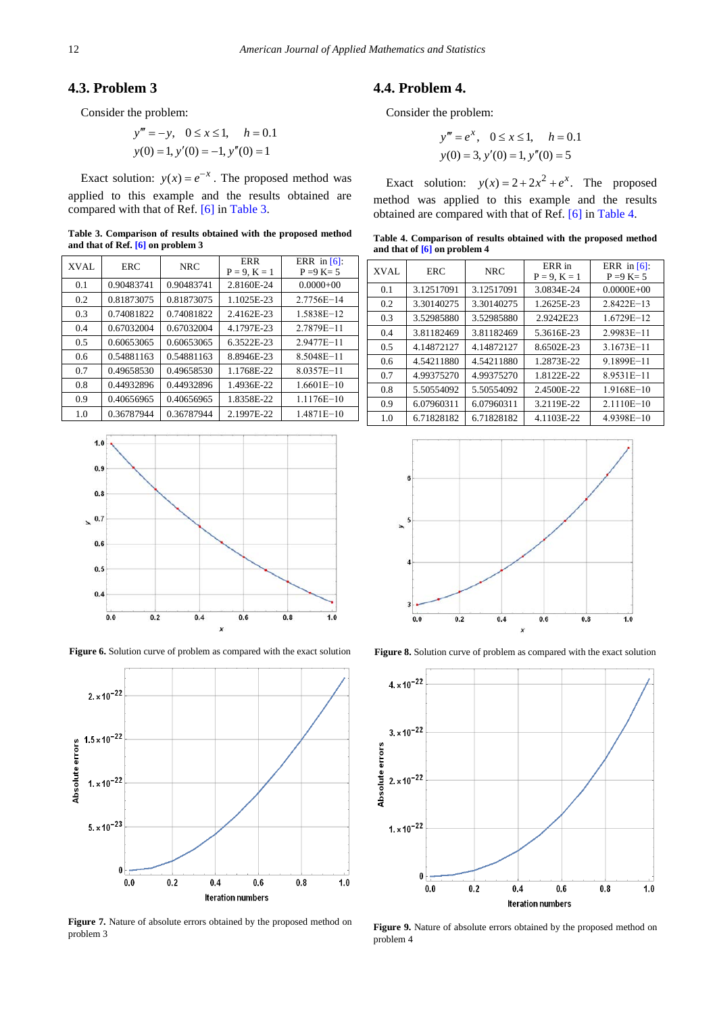#### **4.3. Problem 3**

Consider the problem:

$$
y''' = -y, \quad 0 \le x \le 1, \quad h = 0.1
$$
  

$$
y(0) = 1, y'(0) = -1, y''(0) = 1
$$

Exact solution:  $y(x) = e^{-x}$ . The proposed method was applied to this example and the results obtained are compared with that of Ref[. \[6\]](#page-9-9) in [Table 3.](#page-8-0)

**Table 3. Comparison of results obtained with the proposed method and that of Ref[. \[6\]](#page-9-9) on problem 3**

<span id="page-8-0"></span>

| XVAL | <b>ERC</b> | <b>NRC</b> | <b>ERR</b><br>$P = 9, K = 1$ | ERR in $[6]$ :<br>$P = 9 K = 5$ |
|------|------------|------------|------------------------------|---------------------------------|
| 0.1  | 0.90483741 | 0.90483741 | 2.8160E-24                   | $0.0000+00$                     |
| 0.2  | 0.81873075 | 0.81873075 | 1.1025E-23                   | 2.7756E-14                      |
| 0.3  | 0.74081822 | 0.74081822 | 2.4162E-23                   | 1.5838E-12                      |
| 0.4  | 0.67032004 | 0.67032004 | 4.1797E-23                   | 2.7879E-11                      |
| 0.5  | 0.60653065 | 0.60653065 | 6.3522E-23                   | $2.9477E - 11$                  |
| 0.6  | 0.54881163 | 0.54881163 | 8.8946E-23                   | 8.5048E-11                      |
| 0.7  | 0.49658530 | 0.49658530 | 1.1768E-22                   | 8.0357E-11                      |
| 0.8  | 0.44932896 | 0.44932896 | 1.4936E-22                   | $1.6601E - 10$                  |
| 0.9  | 0.40656965 | 0.40656965 | 1.8358E-22                   | $1.1176E - 10$                  |
| 1.0  | 0.36787944 | 0.36787944 | 2.1997E-22                   | $1.4871E - 10$                  |



**Figure 6.** Solution curve of problem as compared with the exact solution



Figure 7. Nature of absolute errors obtained by the proposed method on problem 3

# **4.4. Problem 4.**

Consider the problem:

$$
y''' = e^x, \quad 0 \le x \le 1, \quad h = 0.1
$$
  

$$
y(0) = 3, y'(0) = 1, y''(0) = 5
$$

Exact solution:  $y(x) = 2 + 2x^2 + e^x$ . The proposed method was applied to this example and the results obtained are compared with that of Ref. [\[6\]](#page-9-9) in [Table 4.](#page-8-1)

**Table 4. Comparison of results obtained with the proposed method and that of [\[6\]](#page-9-9) on problem 4**

<span id="page-8-1"></span>

| XVAL | <b>ERC</b> | <b>NRC</b> | ERR in<br>$P = 9, K = 1$ | ERR in $[6]$ :<br>$P = 9 K = 5$ |
|------|------------|------------|--------------------------|---------------------------------|
| 0.1  | 3.12517091 | 3.12517091 | 3.0834E-24               | $0.0000E + 00$                  |
| 0.2  | 3.30140275 | 3.30140275 | 1.2625E-23               | $2.8422E - 13$                  |
| 0.3  | 3.52985880 | 3.52985880 | 2.9242E23                | $1.6729E - 12$                  |
| 0.4  | 3.81182469 | 3.81182469 | 5.3616E-23               | $2.9983E - 11$                  |
| 0.5  | 4.14872127 | 4.14872127 | 8.6502E-23               | $3.1673E - 11$                  |
| 0.6  | 4.54211880 | 4.54211880 | 1.2873E-22               | 9.1899E-11                      |
| 0.7  | 4.99375270 | 4.99375270 | 1.8122E-22               | 8.9531E-11                      |
| 0.8  | 5.50554092 | 5.50554092 | 2.4500E-22               | $1.9168E - 10$                  |
| 0.9  | 6.07960311 | 6.07960311 | 3.2119E-22               | $2.1110E - 10$                  |
| 1.0  | 6.71828182 | 6.71828182 | 4.1103E-22               | $4.9398E - 10$                  |



Figure 8. Solution curve of problem as compared with the exact solution



**Figure 9.** Nature of absolute errors obtained by the proposed method on problem 4